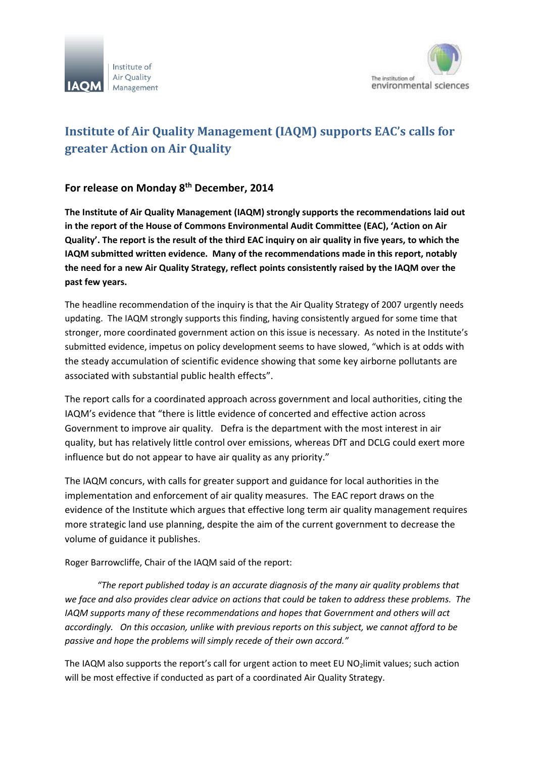



## **Institute of Air Quality Management (IAQM) supports EAC's calls for greater Action on Air Quality**

## **For release on Monday 8th December, 2014**

**The Institute of Air Quality Management (IAQM) strongly supports the recommendations laid out in the report of the House of Commons Environmental Audit Committee (EAC), 'Action on Air Quality'. The report is the result of the third EAC inquiry on air quality in five years, to which the IAQM submitted written evidence. Many of the recommendations made in this report, notably the need for a new Air Quality Strategy, reflect points consistently raised by the IAQM over the past few years.**

The headline recommendation of the inquiry is that the Air Quality Strategy of 2007 urgently needs updating. The IAQM strongly supports this finding, having consistently argued for some time that stronger, more coordinated government action on this issue is necessary. As noted in the Institute's submitted evidence, impetus on policy development seems to have slowed, "which is at odds with the steady accumulation of scientific evidence showing that some key airborne pollutants are associated with substantial public health effects".

The report calls for a coordinated approach across government and local authorities, citing the IAQM's evidence that "there is little evidence of concerted and effective action across Government to improve air quality. Defra is the department with the most interest in air quality, but has relatively little control over emissions, whereas DfT and DCLG could exert more influence but do not appear to have air quality as any priority."

The IAQM concurs, with calls for greater support and guidance for local authorities in the implementation and enforcement of air quality measures. The EAC report draws on the evidence of the Institute which argues that effective long term air quality management requires more strategic land use planning, despite the aim of the current government to decrease the volume of guidance it publishes.

Roger Barrowcliffe, Chair of the IAQM said of the report:

*"The report published today is an accurate diagnosis of the many air quality problems that we face and also provides clear advice on actions that could be taken to address these problems. The IAQM supports many of these recommendations and hopes that Government and others will act accordingly. On this occasion, unlike with previous reports on this subject, we cannot afford to be passive and hope the problems will simply recede of their own accord."*

The IAQM also supports the report's call for urgent action to meet EU NO<sub>2</sub>limit values; such action will be most effective if conducted as part of a coordinated Air Quality Strategy.